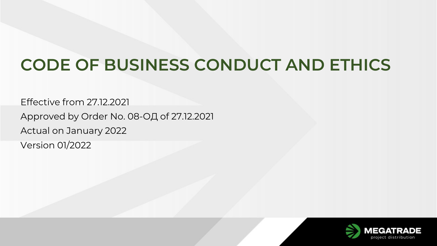# **CODE OF BUSINESS CONDUCT AND ETHICS**

Effective from 27.12.2021 Approved by Order No. 08-ОД of 27.12.2021 Actual on January 2022 Version 01/2022

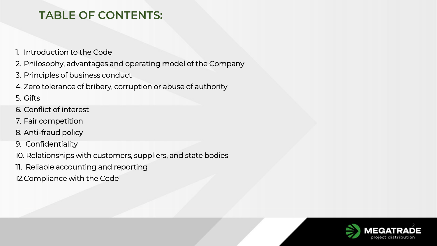# **TABLE OF CONTENTS:**

- 1. Introduction to the Code
- 2. Philosophy, advantages and operating model of the Company
- 3. Principles of business conduct
- 4. Zero tolerance of bribery, corruption or abuse of authority
- 5. Gifts
- 6. Conflict of interest
- 7. Fair competition
- 8. Anti-fraud policy
- 9. Confidentiality
- 10. Relationships with customers, suppliers, and state bodies
- 11. Reliable accounting and reporting
- 12.Compliance with the Code

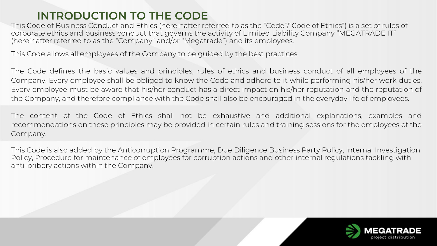# **INTRODUCTION TO THE CODE**

This Code of Business Conduct and Ethics (hereinafter referred to as the "Code"/"Code of Ethics") is a set of rules of corporate ethics and business conduct that governs the activity of Limited Liability Company "MEGATRADE ІТ" (hereinafter referred to as the "Company" and/or "Megatrade") and its employees.

This Code allows all employees of the Company to be guided by the best practices.

The Code defines the basic values and principles, rules of ethics and business conduct of all employees of the Company. Every employee shall be obliged to know the Code and adhere to it while performing his/her work duties. Every employee must be aware that his/her conduct has a direct impact on his/her reputation and the reputation of the Company, and therefore compliance with the Code shall also be encouraged in the everyday life of employees.

The content of the Code of Ethics shall not be exhaustive and additional explanations, examples and recommendations on these principles may be provided in certain rules and training sessions for the employees of the Company.

This Code is also added by the Anticorruption Programme, Due Diligence Business Party Policy, Internal Investigation Policy, Procedure for maintenance of employees for corruption actions and other internal regulations tackling with anti-bribery actions within the Company.

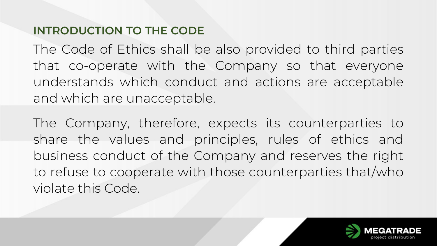# **INTRODUCTION TO THE CODE**

The Code of Ethics shall be also provided to third parties that co-operate with the Company so that everyone understands which conduct and actions are acceptable and which are unacceptable.

The Company, therefore, expects its counterparties to share the values and principles, rules of ethics and business conduct of the Company and reserves the right to refuse to cooperate with those counterparties that/who violate this Code.

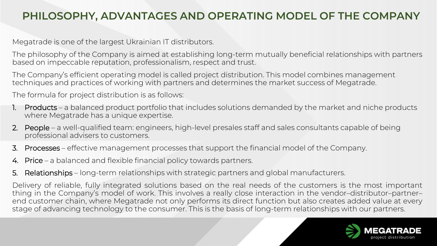# **PHILOSOPHY, ADVANTAGES AND OPERATING MODEL OF THE COMPANY**

Megatrade is one of the largest Ukrainian IT distributors.

The philosophy of the Company is aimed at establishing long-term mutually beneficial relationships with partners based on impeccable reputation, professionalism, respect and trust.

The Company's efficient operating model is called project distribution. This model combines management techniques and practices of working with partners and determines the market success of Megatrade.

The formula for project distribution is as follows:

- 1. Products a balanced product portfolio that includes solutions demanded by the market and niche products where Megatrade has a unique expertise.
- 2. People a well-qualified team: engineers, high-level presales staff and sales consultants capable of being professional advisers to customers.
- 3. Processes effective management processes that support the financial model of the Company.
- 4. Price a balanced and flexible financial policy towards partners.
- 5. Relationships long-term relationships with strategic partners and global manufacturers.

Delivery of reliable, fully integrated solutions based on the real needs of the customers is the most important thing in the Company's model of work. This involves a really close interaction in the vendor–distributor–partner– end customer chain, where Megatrade not only performs its direct function but also creates added value at every stage of advancing technology to the consumer. This is the basis of long-term relationships with our partners.

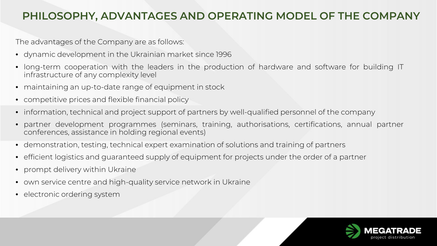#### **PHILOSOPHY, ADVANTAGES AND OPERATING MODEL OF THE COMPANY**

The advantages of the Company are as follows:

- dynamic development in the Ukrainian market since 1996
- long-term cooperation with the leaders in the production of hardware and software for building IT infrastructure of any complexity level
- maintaining an up-to-date range of equipment in stock
- competitive prices and flexible financial policy
- information, technical and project support of partners by well-qualified personnel of the company
- partner development programmes (seminars, training, authorisations, certifications, annual partner conferences, assistance in holding regional events)
- demonstration, testing, technical expert examination of solutions and training of partners
- efficient logistics and guaranteed supply of equipment for projects under the order of a partner
- prompt delivery within Ukraine
- own service centre and high-quality service network in Ukraine
- electronic ordering system

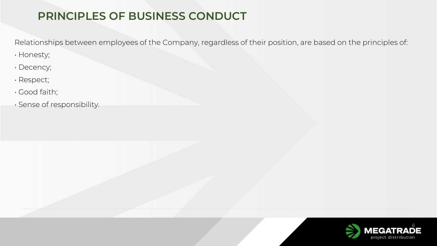# **PRINCIPLES OF BUSINESS CONDUCT**

Relationships between employees of the Company, regardless of their position, are based on the principles of:

- Honesty;
- Decency;
- Respect;
- Good faith;
- Sense of responsibility.

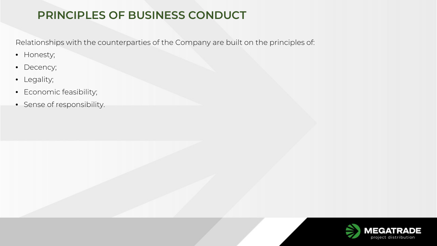# **PRINCIPLES OF BUSINESS CONDUCT**

Relationships with the counterparties of the Company are built on the principles of:

- Honesty;
- Decency;
- Legality;
- Economic feasibility;
- Sense of responsibility.

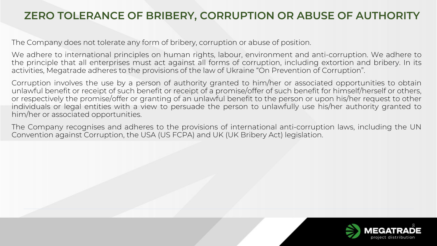#### **ZERO TOLERANCE OF BRIBERY, CORRUPTION OR ABUSE OF AUTHORITY**

The Company does not tolerate any form of bribery, corruption or abuse of position.

We adhere to international principles on human rights, labour, environment and anti-corruption. We adhere to the principle that all enterprises must act against all forms of corruption, including extortion and bribery. In its activities, Megatrade adheres to the provisions of the law of Ukraine "On Prevention of Corruption".

Corruption involves the use by a person of authority granted to him/her or associated opportunities to obtain unlawful benefit or receipt of such benefit or receipt of a promise/offer of such benefit for himself/herself or others, or respectively the promise/offer or granting of an unlawful benefit to the person or upon his/her request to other individuals or legal entities with a view to persuade the person to unlawfully use his/her authority granted to him/her or associated opportunities.

The Company recognises and adheres to the provisions of international anti-corruption laws, including the UN Convention against Corruption, the USA (US FCPA) and UK (UK Bribery Act) legislation.

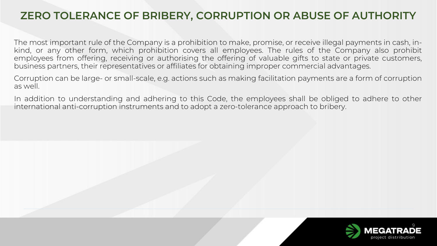#### **ZERO TOLERANCE OF BRIBERY, CORRUPTION OR ABUSE OF AUTHORITY**

The most important rule of the Company is a prohibition to make, promise, or receive illegal payments in cash, inkind, or any other form, which prohibition covers all employees. The rules of the Company also prohibit employees from offering, receiving or authorising the offering of valuable gifts to state or private customers, business partners, their representatives or affiliates for obtaining improper commercial advantages.

Corruption can be large- or small-scale, e.g. actions such as making facilitation payments are a form of corruption as well.

In addition to understanding and adhering to this Code, the employees shall be obliged to adhere to other international anti-corruption instruments and to adopt a zero-tolerance approach to bribery.

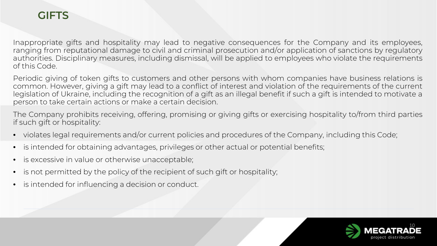# **GIFTS**

Inappropriate gifts and hospitality may lead to negative consequences for the Company and its employees, ranging from reputational damage to civil and criminal prosecution and/or application of sanctions by regulatory authorities. Disciplinary measures, including dismissal, will be applied to employees who violate the requirements of this Code.

Periodic giving of token gifts to customers and other persons with whom companies have business relations is common. However, giving a gift may lead to a conflict of interest and violation of the requirements of the current legislation of Ukraine, including the recognition of a gift as an illegal benefit if such a gift is intended to motivate a person to take certain actions or make a certain decision.

The Company prohibits receiving, offering, promising or giving gifts or exercising hospitality to/from third parties if such gift or hospitality:

- violates legal requirements and/or current policies and procedures of the Company, including this Code;
- is intended for obtaining advantages, privileges or other actual or potential benefits;
- is excessive in value or otherwise unacceptable;
- is not permitted by the policy of the recipient of such gift or hospitality;
- is intended for influencing a decision or conduct.

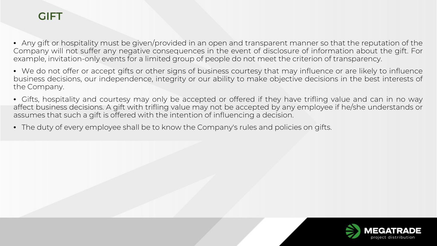# **GIFT**

• Any gift or hospitality must be given/provided in an open and transparent manner so that the reputation of the Company will not suffer any negative consequences in the event of disclosure of information about the gift. For example, invitation-only events for a limited group of people do not meet the criterion of transparency.

• We do not offer or accept gifts or other signs of business courtesy that may influence or are likely to influence business decisions, our independence, integrity or our ability to make objective decisions in the best interests of the Company.

• Gifts, hospitality and courtesy may only be accepted or offered if they have trifling value and can in no way affect business decisions. A gift with trifling value may not be accepted by any employee if he/she understands or assumes that such a gift is offered with the intention of influencing a decision.

• The duty of every employee shall be to know the Company's rules and policies on gifts.

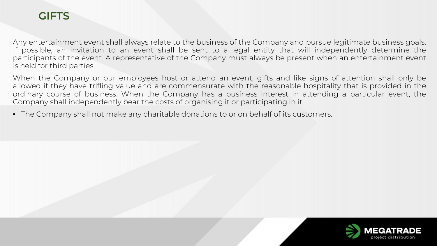## **GIFTS**

Any entertainment event shall always relate to the business of the Company and pursue legitimate business goals. If possible, an invitation to an event shall be sent to a legal entity that will independently determine the participants of the event. A representative of the Company must always be present when an entertainment event is held for third parties.

When the Company or our employees host or attend an event, gifts and like signs of attention shall only be allowed if they have trifling value and are commensurate with the reasonable hospitality that is provided in the ordinary course of business. When the Company has a business interest in attending a particular event, the Company shall independently bear the costs of organising it or participating in it.

• The Company shall not make any charitable donations to or on behalf of its customers.

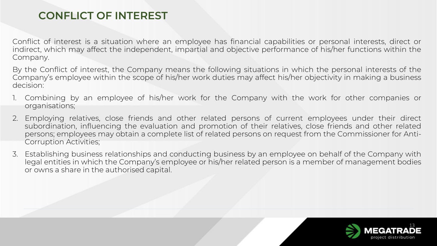# **CONFLICT OF INTEREST**

Conflict of interest is a situation where an employee has financial capabilities or personal interests, direct or indirect, which may affect the independent, impartial and objective performance of his/her functions within the Company.

By the Conflict of interest, the Company means the following situations in which the personal interests of the Company's employee within the scope of his/her work duties may affect his/her objectivity in making a business decision:

- 1. Combining by an employee of his/her work for the Company with the work for other companies or organisations;
- 2. Employing relatives, close friends and other related persons of current employees under their direct subordination, influencing the evaluation and promotion of their relatives, close friends and other related persons; employees may obtain a complete list of related persons on request from the Commissioner for Anti-Corruption Activities;
- 3. Establishing business relationships and conducting business by an employee on behalf of the Company with legal entities in which the Company's employee or his/her related person is a member of management bodies or owns a share in the authorised capital.

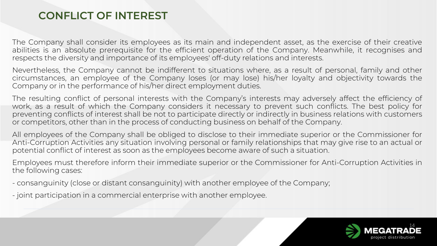#### **CONFLICT OF INTEREST**

The Company shall consider its employees as its main and independent asset, as the exercise of their creative abilities is an absolute prerequisite for the efficient operation of the Company. Meanwhile, it recognises and respects the diversity and importance of its employees' off-duty relations and interests.

Nevertheless, the Company cannot be indifferent to situations where, as a result of personal, family and other circumstances, an employee of the Company loses (or may lose) his/her loyalty and objectivity towards the Company or in the performance of his/her direct employment duties.

The resulting conflict of personal interests with the Company's interests may adversely affect the efficiency of work, as a result of which the Company considers it necessary to prevent such conflicts. The best policy for preventing conflicts of interest shall be not to participate directly or indirectly in business relations with customers or competitors, other than in the process of conducting business on behalf of the Company.

All employees of the Company shall be obliged to disclose to their immediate superior or the Commissioner for Anti-Corruption Activities any situation involving personal or family relationships that may give rise to an actual or potential conflict of interest as soon as the employees become aware of such a situation.

Employees must therefore inform their immediate superior or the Commissioner for Anti-Corruption Activities in the following cases:

- consanguinity (close or distant consanguinity) with another employee of the Company;
- joint participation in a commercial enterprise with another employee.

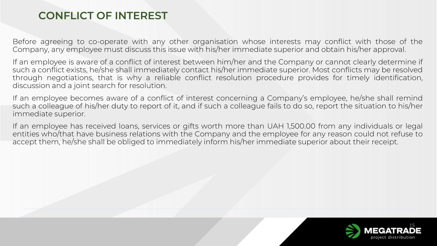#### **CONFLICT OF INTEREST**

Before agreeing to co-operate with any other organisation whose interests may conflict with those of the Company, any employee must discuss this issue with his/her immediate superior and obtain his/her approval.

If an employee is aware of a conflict of interest between him/her and the Company or cannot clearly determine if such a conflict exists, he/she shall immediately contact his/her immediate superior. Most conflicts may be resolved through negotiations, that is why a reliable conflict resolution procedure provides for timely identification, discussion and a joint search for resolution.

If an employee becomes aware of a conflict of interest concerning a Company's employee, he/she shall remind such a colleague of his/her duty to report of it, and if such a colleague fails to do so, report the situation to his/her immediate superior.

If an employee has received loans, services or gifts worth more than UAH 1,500.00 from any individuals or legal entities who/that have business relations with the Company and the employee for any reason could not refuse to accept them, he/she shall be obliged to immediately inform his/her immediate superior about their receipt.

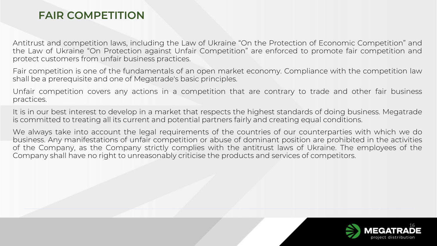#### **FAIR COMPETITION**

Antitrust and competition laws, including the Law of Ukraine "On the Protection of Economic Competition" and the Law of Ukraine "On Protection against Unfair Competition" are enforced to promote fair competition and protect customers from unfair business practices.

Fair competition is one of the fundamentals of an open market economy. Compliance with the competition law shall be a prerequisite and one of Megatrade's basic principles.

Unfair competition covers any actions in a competition that are contrary to trade and other fair business practices.

It is in our best interest to develop in a market that respects the highest standards of doing business. Megatrade is committed to treating all its current and potential partners fairly and creating equal conditions.

We always take into account the legal requirements of the countries of our counterparties with which we do business. Any manifestations of unfair competition or abuse of dominant position are prohibited in the activities of the Company, as the Company strictly complies with the antitrust laws of Ukraine. The employees of the Company shall have no right to unreasonably criticise the products and services of competitors.

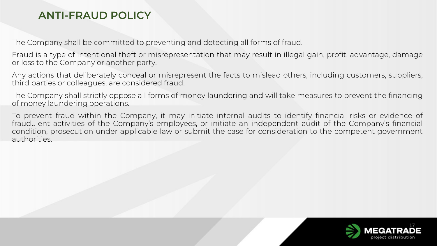#### **ANTI-FRAUD POLICY**

The Company shall be committed to preventing and detecting all forms of fraud.

Fraud is a type of intentional theft or misrepresentation that may result in illegal gain, profit, advantage, damage or loss to the Company or another party.

Any actions that deliberately conceal or misrepresent the facts to mislead others, including customers, suppliers, third parties or colleagues, are considered fraud.

The Company shall strictly oppose all forms of money laundering and will take measures to prevent the financing of money laundering operations.

To prevent fraud within the Company, it may initiate internal audits to identify financial risks or evidence of fraudulent activities of the Company's employees, or initiate an independent audit of the Company's financial condition, prosecution under applicable law or submit the case for consideration to the competent government authorities.

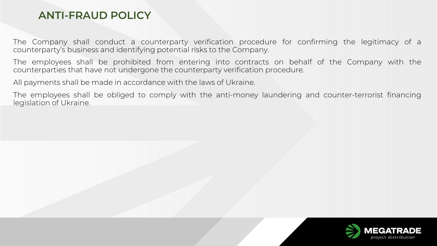#### **ANTI-FRAUD POLICY**

The Company shall conduct a counterparty verification procedure for confirming the legitimacy of a counterparty's business and identifying potential risks to the Company.

The employees shall be prohibited from entering into contracts on behalf of the Company with the counterparties that have not undergone the counterparty verification procedure.

All payments shall be made in accordance with the laws of Ukraine.

The employees shall be obliged to comply with the anti-money laundering and counter-terrorist financing legislation of Ukraine.

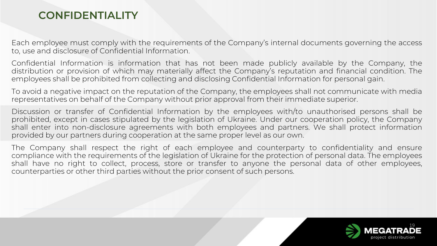#### **CONFIDENTIALITY**

Each employee must comply with the requirements of the Company's internal documents governing the access to, use and disclosure of Confidential Information.

Confidential Information is information that has not been made publicly available by the Company, the distribution or provision of which may materially affect the Company's reputation and financial condition. The employees shall be prohibited from collecting and disclosing Confidential Information for personal gain.

To avoid a negative impact on the reputation of the Company, the employees shall not communicate with media representatives on behalf of the Company without prior approval from their immediate superior.

Discussion or transfer of Confidential Information by the employees with/to unauthorised persons shall be prohibited, except in cases stipulated by the legislation of Ukraine. Under our cooperation policy, the Company shall enter into non-disclosure agreements with both employees and partners. We shall protect information provided by our partners during cooperation at the same proper level as our own.

The Company shall respect the right of each employee and counterparty to confidentiality and ensure compliance with the requirements of the legislation of Ukraine for the protection of personal data. The employees shall have no right to collect, process, store or transfer to anyone the personal data of other employees, counterparties or other third parties without the prior consent of such persons.

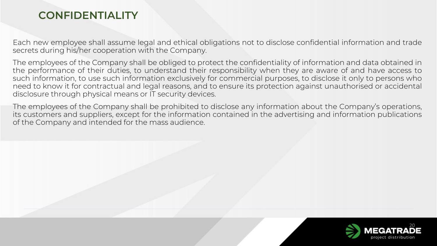#### **CONFIDENTIALITY**

Each new employee shall assume legal and ethical obligations not to disclose confidential information and trade secrets during his/her cooperation with the Company.

The employees of the Company shall be obliged to protect the confidentiality of information and data obtained in the performance of their duties, to understand their responsibility when they are aware of and have access to such information, to use such information exclusively for commercial purposes, to disclose it only to persons who need to know it for contractual and legal reasons, and to ensure its protection against unauthorised or accidental disclosure through physical means or IT security devices.

The employees of the Company shall be prohibited to disclose any information about the Company's operations, its customers and suppliers, except for the information contained in the advertising and information publications of the Company and intended for the mass audience.

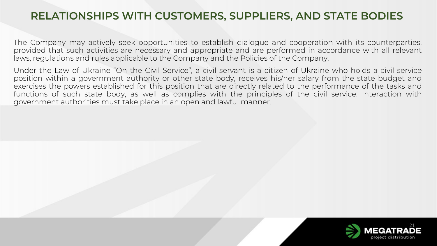#### **RELATIONSHIPS WITH CUSTOMERS, SUPPLIERS, AND STATE BODIES**

The Company may actively seek opportunities to establish dialogue and cooperation with its counterparties, provided that such activities are necessary and appropriate and are performed in accordance with all relevant laws, regulations and rules applicable to the Company and the Policies of the Company.

Under the Law of Ukraine "On the Civil Service", a civil servant is a citizen of Ukraine who holds a civil service position within a government authority or other state body, receives his/her salary from the state budget and exercises the powers established for this position that are directly related to the performance of the tasks and functions of such state body, as well as complies with the principles of the civil service. Interaction with government authorities must take place in an open and lawful manner.

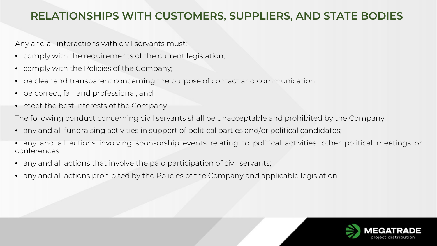#### **RELATIONSHIPS WITH CUSTOMERS, SUPPLIERS, AND STATE BODIES**

Any and all interactions with civil servants must:

- comply with the requirements of the current legislation;
- comply with the Policies of the Company;
- be clear and transparent concerning the purpose of contact and communication;
- be correct, fair and professional; and
- meet the best interests of the Company.

The following conduct concerning civil servants shall be unacceptable and prohibited by the Company:

- any and all fundraising activities in support of political parties and/or political candidates;
- any and all actions involving sponsorship events relating to political activities, other political meetings or conferences;
- any and all actions that involve the paid participation of civil servants;
- any and all actions prohibited by the Policies of the Company and applicable legislation.

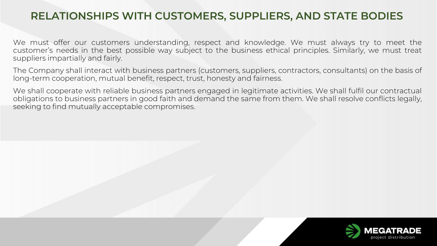#### **RELATIONSHIPS WITH CUSTOMERS, SUPPLIERS, AND STATE BODIES**

We must offer our customers understanding, respect and knowledge. We must always try to meet the customer's needs in the best possible way subject to the business ethical principles. Similarly, we must treat suppliers impartially and fairly.

The Company shall interact with business partners (customers, suppliers, contractors, consultants) on the basis of long-term cooperation, mutual benefit, respect, trust, honesty and fairness.

We shall cooperate with reliable business partners engaged in legitimate activities. We shall fulfil our contractual obligations to business partners in good faith and demand the same from them. We shall resolve conflicts legally, seeking to find mutually acceptable compromises.

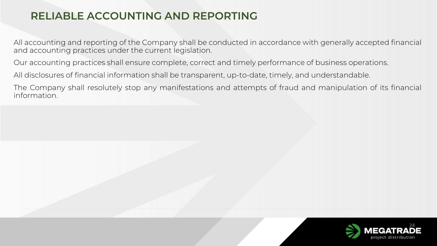# **RELIABLE ACCOUNTING AND REPORTING**

All accounting and reporting of the Company shall be conducted in accordance with generally accepted financial and accounting practices under the current legislation.

Our accounting practices shall ensure complete, correct and timely performance of business operations.

All disclosures of financial information shall be transparent, up-to-date, timely, and understandable.

The Company shall resolutely stop any manifestations and attempts of fraud and manipulation of its financial information.

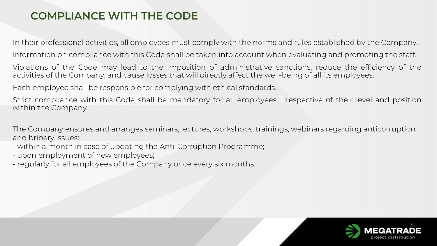In their professional activities, all employees must comply with the norms and rules established by the Company.

Information on compliance with this Code shall be taken into account when evaluating and promoting the staff.

Violations of the Code may lead to the imposition of administrative sanctions, reduce the efficiency of the activities of the Company, and cause losses that will directly affect the well-being of all its employees.

Each employee shall be responsible for complying with ethical standards.

Strict compliance with this Code shall be mandatory for all employees, irrespective of their level and position within the Company.

The Company ensures and arranges seminars, lectures, workshops, trainings, webinars regarding anticorruption and bribery issues:

- within a month in case of updating the Anti-Corruption Programme;
- upon employment of new employees;
- regularly for all employees of the Company once every six months.

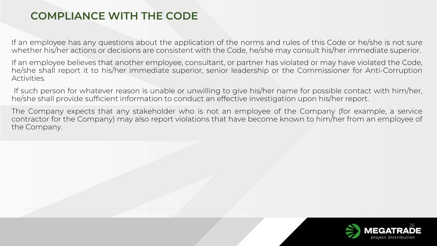If an employee has any questions about the application of the norms and rules of this Code or he/she is not sure whether his/her actions or decisions are consistent with the Code, he/she may consult his/her immediate superior.

If an employee believes that another employee, consultant, or partner has violated or may have violated the Code, he/she shall report it to his/her immediate superior, senior leadership or the Commissioner for Anti-Corruption Activities.

If such person for whatever reason is unable or unwilling to give his/her name for possible contact with him/her, he/she shall provide sufficient information to conduct an effective investigation upon his/her report.

The Company expects that any stakeholder who is not an employee of the Company (for example, a service contractor for the Company) may also report violations that have become known to him/her from an employee of the Company.

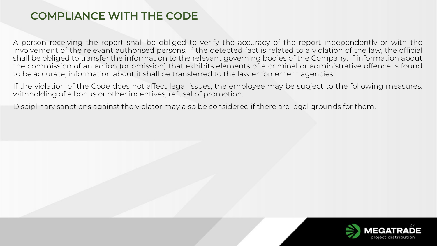A person receiving the report shall be obliged to verify the accuracy of the report independently or with the involvement of the relevant authorised persons. If the detected fact is related to a violation of the law, the official shall be obliged to transfer the information to the relevant governing bodies of the Company. If information about the commission of an action (or omission) that exhibits elements of a criminal or administrative offence is found to be accurate, information about it shall be transferred to the law enforcement agencies.

If the violation of the Code does not affect legal issues, the employee may be subject to the following measures: withholding of a bonus or other incentives, refusal of promotion.

Disciplinary sanctions against the violator may also be considered if there are legal grounds for them.

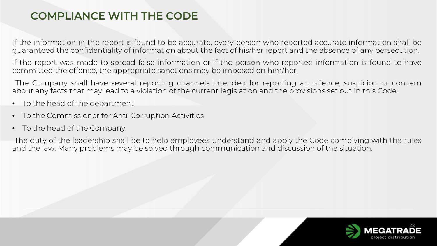If the information in the report is found to be accurate, every person who reported accurate information shall be guaranteed the confidentiality of information about the fact of his/her report and the absence of any persecution.

If the report was made to spread false information or if the person who reported information is found to have committed the offence, the appropriate sanctions may be imposed on him/her.

The Company shall have several reporting channels intended for reporting an offence, suspicion or concern about any facts that may lead to a violation of the current legislation and the provisions set out in this Code:

- To the head of the department
- To the Commissioner for Anti-Corruption Activities
- To the head of the Company

The duty of the leadership shall be to help employees understand and apply the Code complying with the rules and the law. Many problems may be solved through communication and discussion of the situation.